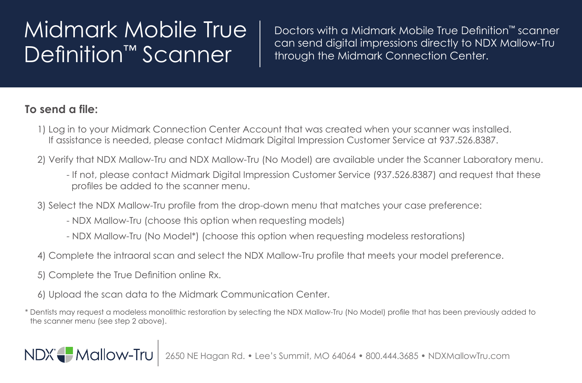## Midmark Mobile True Definition<sup>™</sup> Scanner

Doctors with a Midmark Mobile True Definition™ scanner can send digital impressions directly to NDX Mallow-Tru through the Midmark Connection Center.

## **To send a file:**

- 1) Log in to your Midmark Connection Center Account that was created when your scanner was installed. If assistance is needed, please contact Midmark Digital Impression Customer Service at 937.526.8387.
- 2) Verify that NDX Mallow-Tru and NDX Mallow-Tru (No Model) are available under the Scanner Laboratory menu.
	- If not, please contact Midmark Digital Impression Customer Service (937.526.8387) and request that these profiles be added to the scanner menu.
- 3) Select the NDX Mallow-Tru profile from the drop-down menu that matches your case preference:
	- NDX Mallow-Tru (choose this option when requesting models)
	- NDX Mallow-Tru (No Model\*) (choose this option when requesting modeless restorations)
- 4) Complete the intraoral scan and select the NDX Mallow-Tru profile that meets your model preference.
- 5) Complete the True Definition online Rx.

NDX Mallow-Tru

- 6) Upload the scan data to the Midmark Communication Center.
- \* Dentists may request a modeless monolithic restoration by selecting the NDX Mallow-Tru (No Model) profile that has been previously added to the scanner menu (see step 2 above).

agan Rd. • Lee's Summit, MO 64064 • 800.444.3685 • NDXMallowTru.com